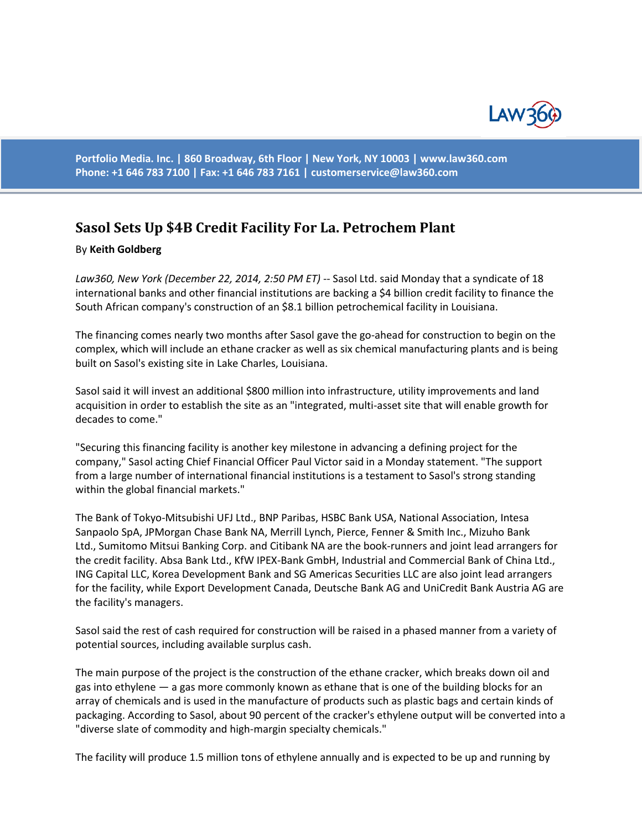

**Portfolio Media. Inc. | 860 Broadway, 6th Floor | New York, NY 10003 | www.law360.com Phone: +1 646 783 7100 | Fax: +1 646 783 7161 | [customerservice@law360.com](mailto:customerservice@law360.com)**

## **Sasol Sets Up \$4B Credit Facility For La. Petrochem Plant**

## By **Keith Goldberg**

*Law360, New York (December 22, 2014, 2:50 PM ET)* -- Sasol Ltd. said Monday that a syndicate of 18 international banks and other financial institutions are backing a \$4 billion credit facility to finance the South African company's construction of an \$8.1 billion petrochemical facility in Louisiana.

The financing comes nearly two months after Sasol gave the go-ahead for construction to begin on the complex, which will include an ethane cracker as well as six chemical manufacturing plants and is being built on Sasol's existing site in Lake Charles, Louisiana.

Sasol said it will invest an additional \$800 million into infrastructure, utility improvements and land acquisition in order to establish the site as an "integrated, multi-asset site that will enable growth for decades to come."

"Securing this financing facility is another key milestone in advancing a defining project for the company," Sasol acting Chief Financial Officer Paul Victor said in a Monday statement. "The support from a large number of international financial institutions is a testament to Sasol's strong standing within the global financial markets."

The Bank of Tokyo-Mitsubishi UFJ Ltd., BNP Paribas, HSBC Bank USA, National Association, Intesa Sanpaolo SpA, JPMorgan Chase Bank NA, Merrill Lynch, Pierce, Fenner & Smith Inc., Mizuho Bank Ltd., Sumitomo Mitsui Banking Corp. and Citibank NA are the book-runners and joint lead arrangers for the credit facility. Absa Bank Ltd., KfW IPEX-Bank GmbH, Industrial and Commercial Bank of China Ltd., ING Capital LLC, Korea Development Bank and SG Americas Securities LLC are also joint lead arrangers for the facility, while Export Development Canada, Deutsche Bank AG and UniCredit Bank Austria AG are the facility's managers.

Sasol said the rest of cash required for construction will be raised in a phased manner from a variety of potential sources, including available surplus cash.

The main purpose of the project is the construction of the ethane cracker, which breaks down oil and gas into ethylene — a gas more commonly known as ethane that is one of the building blocks for an array of chemicals and is used in the manufacture of products such as plastic bags and certain kinds of packaging. According to Sasol, about 90 percent of the cracker's ethylene output will be converted into a "diverse slate of commodity and high-margin specialty chemicals."

The facility will produce 1.5 million tons of ethylene annually and is expected to be up and running by